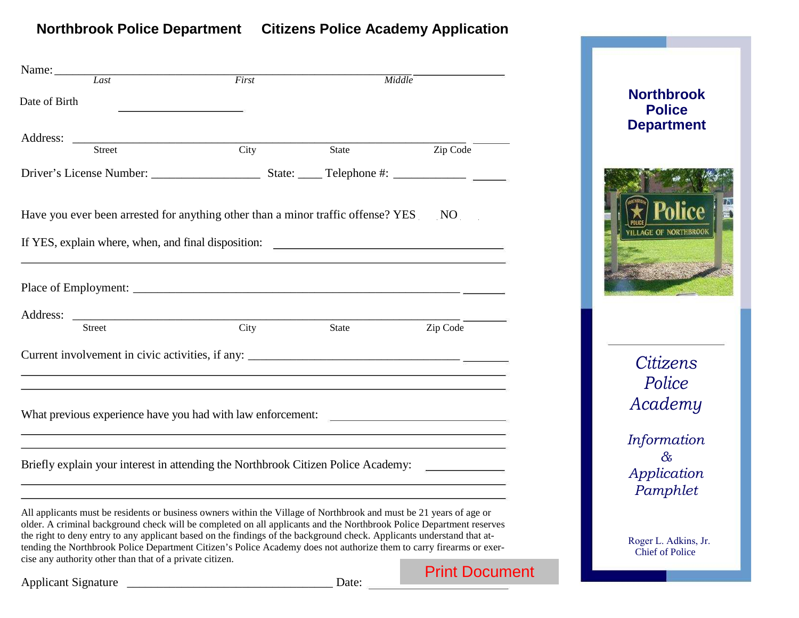# **Northbrook Police Department Citizens Police Academy Application**

| Name: Last                                                                                                                                                                                                                                     |       |       |                       |
|------------------------------------------------------------------------------------------------------------------------------------------------------------------------------------------------------------------------------------------------|-------|-------|-----------------------|
|                                                                                                                                                                                                                                                | First |       | <b>Middle</b>         |
| Date of Birth                                                                                                                                                                                                                                  |       |       |                       |
|                                                                                                                                                                                                                                                |       |       |                       |
|                                                                                                                                                                                                                                                |       |       |                       |
| <b>Street</b>                                                                                                                                                                                                                                  | City  | State | Zip Code              |
|                                                                                                                                                                                                                                                |       |       |                       |
|                                                                                                                                                                                                                                                |       |       |                       |
| Have you ever been arrested for anything other than a minor traffic offense? YES                                                                                                                                                               |       |       | NO                    |
|                                                                                                                                                                                                                                                |       |       |                       |
|                                                                                                                                                                                                                                                |       |       |                       |
|                                                                                                                                                                                                                                                |       |       |                       |
|                                                                                                                                                                                                                                                |       |       |                       |
|                                                                                                                                                                                                                                                |       |       |                       |
|                                                                                                                                                                                                                                                |       |       |                       |
| <b>Street</b>                                                                                                                                                                                                                                  | City  | State | Zip Code              |
|                                                                                                                                                                                                                                                |       |       |                       |
|                                                                                                                                                                                                                                                |       |       |                       |
|                                                                                                                                                                                                                                                |       |       |                       |
|                                                                                                                                                                                                                                                |       |       |                       |
| What previous experience have you had with law enforcement:                                                                                                                                                                                    |       |       |                       |
|                                                                                                                                                                                                                                                |       |       |                       |
|                                                                                                                                                                                                                                                |       |       |                       |
| Briefly explain your interest in attending the Northbrook Citizen Police Academy:                                                                                                                                                              |       |       |                       |
|                                                                                                                                                                                                                                                |       |       |                       |
| All applicants must be residents or business owners within the Village of Northbrook and must be 21 years of age or                                                                                                                            |       |       |                       |
| older. A criminal background check will be completed on all applicants and the Northbrook Police Department reserves                                                                                                                           |       |       |                       |
| the right to deny entry to any applicant based on the findings of the background check. Applicants understand that at-<br>tending the Northbrook Police Department Citizen's Police Academy does not authorize them to carry firearms or exer- |       |       |                       |
| cise any authority other than that of a private citizen.                                                                                                                                                                                       |       |       |                       |
|                                                                                                                                                                                                                                                |       |       | <b>Print Document</b> |
| <b>Applicant Signature</b>                                                                                                                                                                                                                     |       | Date: |                       |



# *Citizens Police Academy*

*Information & Application Pamphlet*

Roger L. Adkins, Jr. Chief of Police